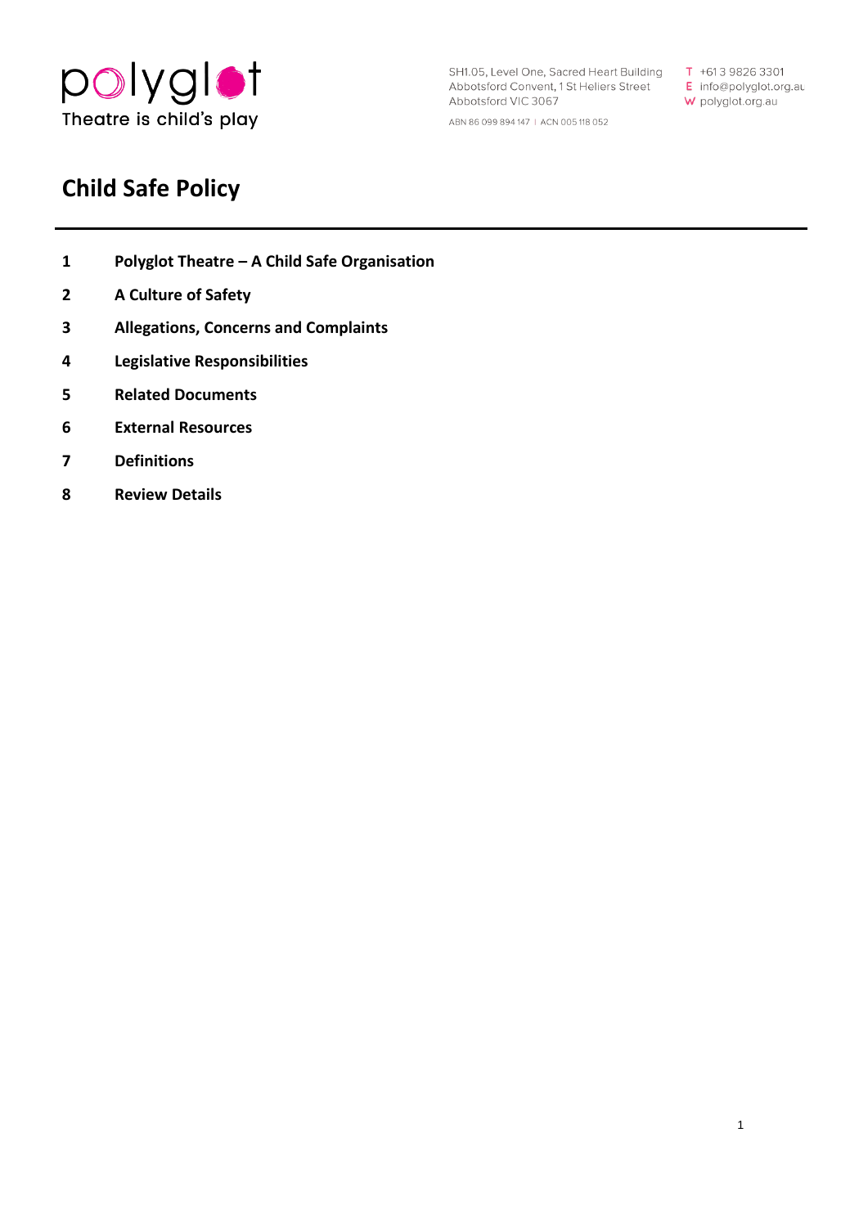

SH1.05, Level One, Sacred Heart Building Abbotsford Convent, 1 St Heliers Street Abbotsford VIC 3067 ABN 86 099 894 147 I ACN 005118 052

**T** +61 3 9826 3301 **E** info@polyglot.org. au **W** polyglot.org.au

1

# **Child Safe Policy**

- **1 Polyglot Theatre – [A Child Safe Organisation](#page-1-0)**
- **[2 A](#page-1-1) Culture of Safety**
- **[3 Allegations,](#page-2-0) Concerns and Complaints**
- **[4 Legislative](#page-2-1) Responsibilities**
- **5 Related Documents**
- **6 External Resources**
- **7 Definitions**
- **8 Review Details**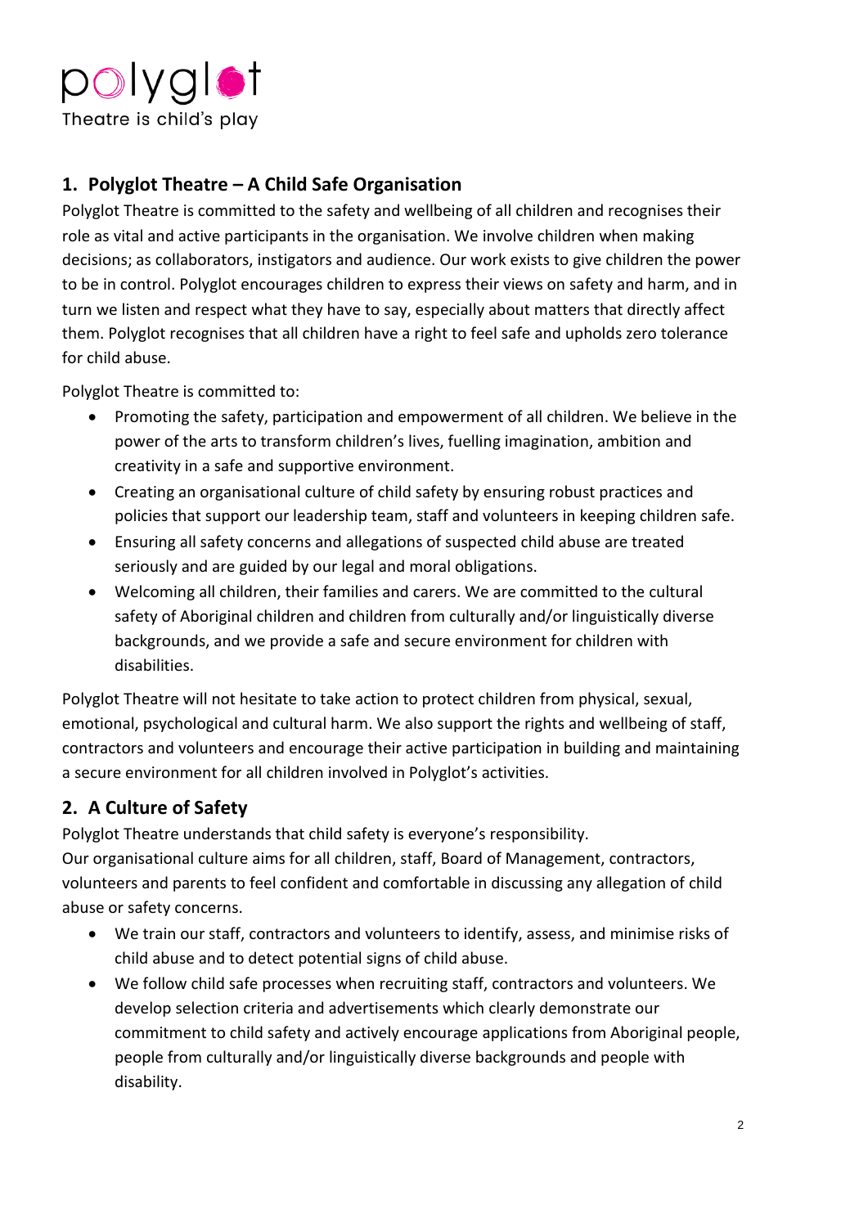

### <span id="page-1-0"></span>**1. Polyglot Theatre – A Child Safe Organisation**

Polyglot Theatre is committed to the safety and wellbeing of all children and recognises their role as vital and active participants in the organisation. We involve children when making decisions; as collaborators, instigators and audience. Our work exists to give children the power to be in control. Polyglot encourages children to express their views on safety and harm, and in turn we listen and respect what they have to say, especially about matters that directly affect them. Polyglot recognises that all children have a right to feel safe and upholds zero tolerance for child abuse.

Polyglot Theatre is committed to:

- power of the arts to transform children's lives, fuelling imagination, ambition and • Promoting the safety, participation and empowerment of all children. We believe in the creativity in a safe and supportive environment.
- Creating an organisational culture of child safety by ensuring robust practices and policies that support our leadership team, staff and volunteers in keeping children safe.
- Ensuring all safety concerns and allegations of suspected child abuse are treated seriously and are guided by our legal and moral obligations.
- Welcoming all children, their families and carers. We are committed to the cultural safety of Aboriginal children and children from culturally and/or linguistically diverse backgrounds, and we provide a safe and secure environment for children with disabilities.

 a secure environment for all children involved in Polyglot's activities. Polyglot Theatre will not hesitate to take action to protect children from physical, sexual, emotional, psychological and cultural harm. We also support the rights and wellbeing of staff, contractors and volunteers and encourage their active participation in building and maintaining

## <span id="page-1-1"></span>**2. A Culture of Safety**

 Polyglot Theatre understands that child safety is everyone's responsibility. Our organisational culture aims for all children, staff, Board of Management, contractors, volunteers and parents to feel confident and comfortable in discussing any allegation of child abuse or safety concerns.

- We train our staff, contractors and volunteers to identify, assess, and minimise risks of child abuse and to detect potential signs of child abuse.
- We follow child safe processes when recruiting staff, contractors and volunteers. We develop selection criteria and advertisements which clearly demonstrate our commitment to child safety and actively encourage applications from Aboriginal people, people from culturally and/or linguistically diverse backgrounds and people with disability.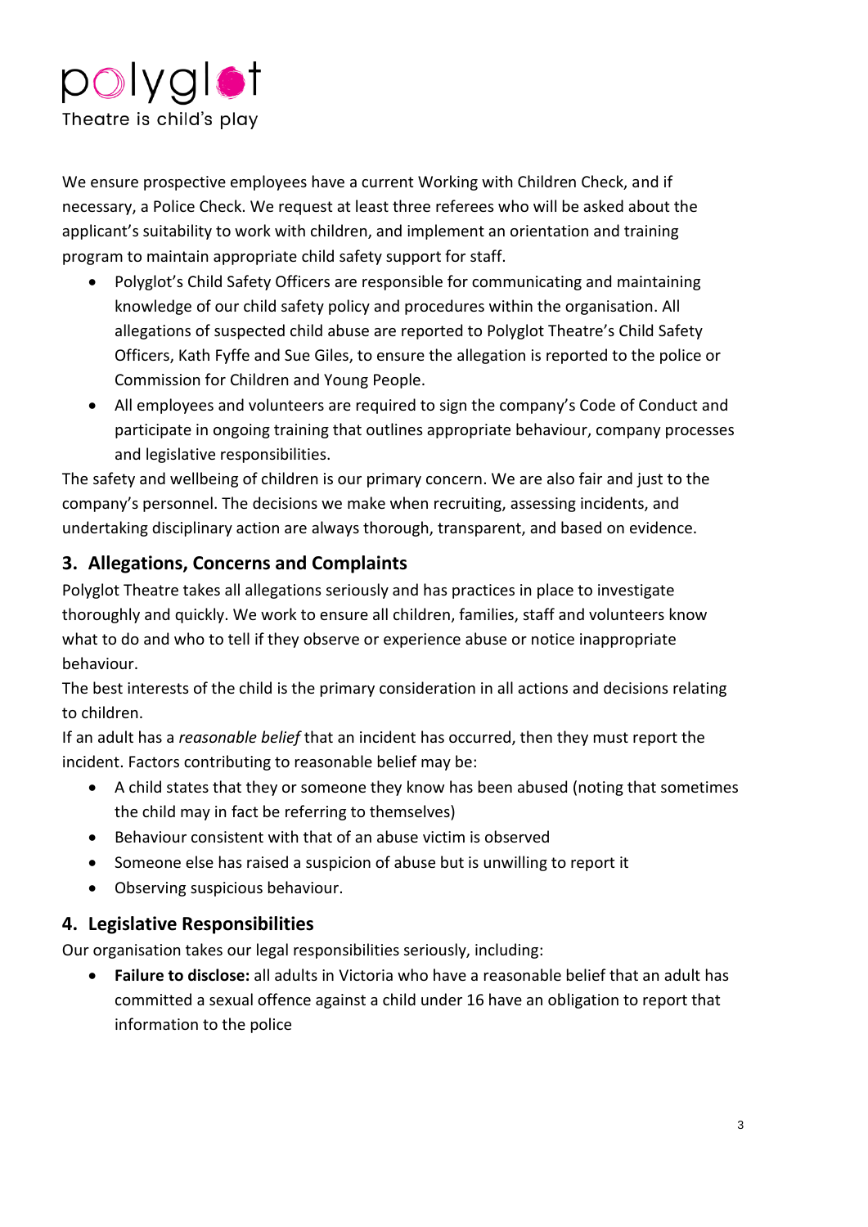

 applicant's suitability to work with children, and implement an orientation and training We ensure prospective employees have a current Working with Children Check, and if necessary, a Police Check. We request at least three referees who will be asked about the program to maintain appropriate child safety support for staff.

- • Polyglot's Child Safety Officers are responsible for communicating and maintaining allegations of suspected child abuse are reported to Polyglot Theatre's Child Safety knowledge of our child safety policy and procedures within the organisation. All Officers, Kath Fyffe and Sue Giles, to ensure the allegation is reported to the police or Commission for Children and Young People.
- • All employees and volunteers are required to sign the company's Code of Conduct and participate in ongoing training that outlines appropriate behaviour, company processes and legislative responsibilities.

 company's personnel. The decisions we make when recruiting, assessing incidents, and The safety and wellbeing of children is our primary concern. We are also fair and just to the undertaking disciplinary action are always thorough, transparent, and based on evidence.

#### <span id="page-2-0"></span>**3. Allegations, Concerns and Complaints**

Polyglot Theatre takes all allegations seriously and has practices in place to investigate thoroughly and quickly. We work to ensure all children, families, staff and volunteers know what to do and who to tell if they observe or experience abuse or notice inappropriate behaviour.

The best interests of the child is the primary consideration in all actions and decisions relating to children.

If an adult has a *reasonable belief* that an incident has occurred, then they must report the incident. Factors contributing to reasonable belief may be:

- A child states that they or someone they know has been abused (noting that sometimes the child may in fact be referring to themselves)
- Behaviour consistent with that of an abuse victim is observed
- Someone else has raised a suspicion of abuse but is unwilling to report it
- Observing suspicious behaviour.

#### <span id="page-2-1"></span>**4. Legislative Responsibilities**

Our organisation takes our legal responsibilities seriously, including:

• **Failure to disclose:** all adults in Victoria who have a reasonable belief that an adult has committed a sexual offence against a child under 16 have an obligation to report that information to the police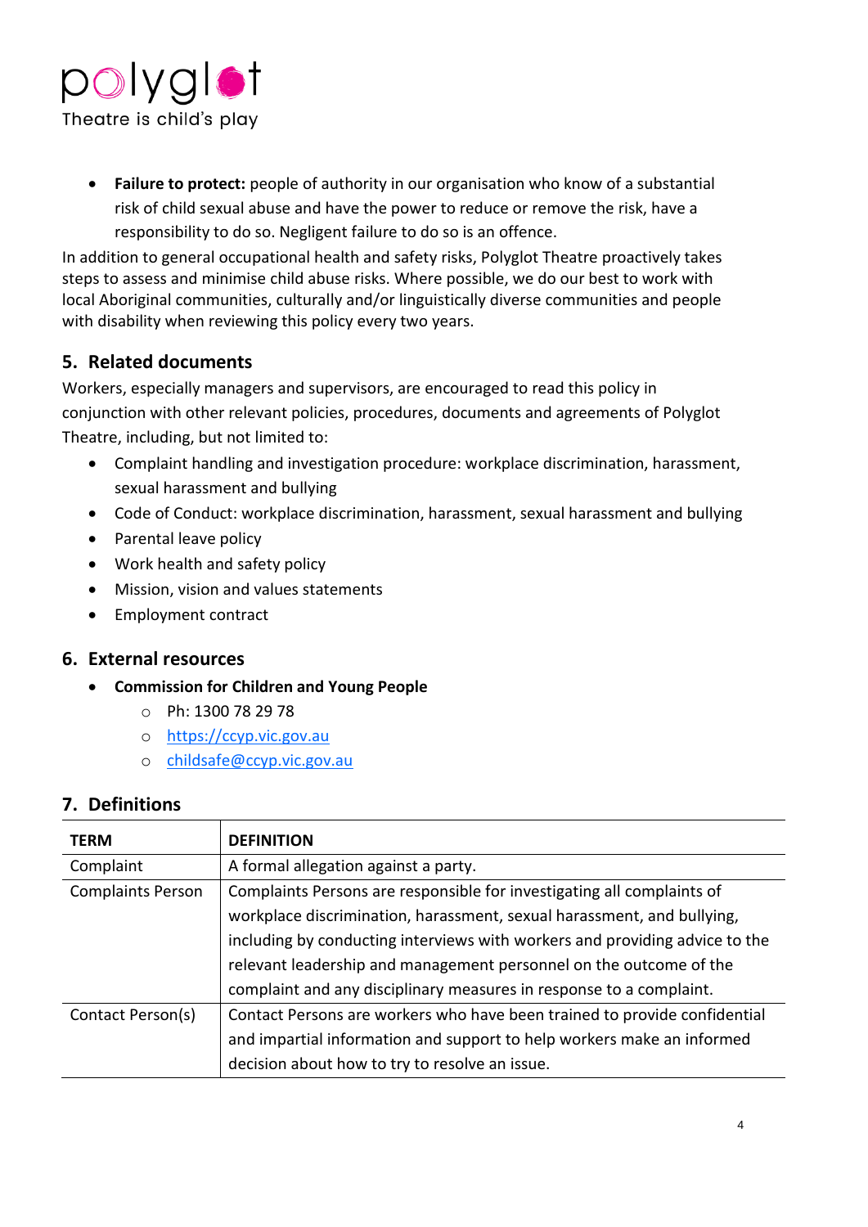

• **Failure to protect:** people of authority in our organisation who know of a substantial risk of child sexual abuse and have the power to reduce or remove the risk, have a responsibility to do so. Negligent failure to do so is an offence.

In addition to general occupational health and safety risks, Polyglot Theatre proactively takes steps to assess and minimise child abuse risks. Where possible, we do our best to work with local Aboriginal communities, culturally and/or linguistically diverse communities and people with disability when reviewing this policy every two years.

#### **5. Related documents**

[Workers,](#page-6-0) especially managers and supervisors, are encouraged to read this policy in conjunction with other relevant policies, procedures, documents and agreements of Polyglot Theatre, including, but not limited to:

- Complaint handling and investigation procedure: workplace discrimination, harassment, sexual harassment and bullying
- Code of Conduct: workplace discrimination, harassment, sexual harassment and bullying
- Parental leave policy
- Work health and safety policy
- Mission, vision and values statements
- Employment contract

#### **6. External resources**

- **Commission for Children and Young People** 
	- o Ph: 1300 78 29 78
	- o [https://ccyp.vic.gov.au](https://ccyp.vic.gov.au/)
	- o [childsafe@ccyp.vic.gov.au](mailto:childsafe@ccyp.vic.gov.au)

#### **7. Definitions**

<span id="page-3-1"></span><span id="page-3-0"></span>

| <b>TERM</b>              | <b>DEFINITION</b>                                                           |
|--------------------------|-----------------------------------------------------------------------------|
| Complaint                | A formal allegation against a party.                                        |
| <b>Complaints Person</b> | Complaints Persons are responsible for investigating all complaints of      |
|                          | workplace discrimination, harassment, sexual harassment, and bullying,      |
|                          | including by conducting interviews with workers and providing advice to the |
|                          | relevant leadership and management personnel on the outcome of the          |
|                          | complaint and any disciplinary measures in response to a complaint.         |
| Contact Person(s)        | Contact Persons are workers who have been trained to provide confidential   |
|                          | and impartial information and support to help workers make an informed      |
|                          | decision about how to try to resolve an issue.                              |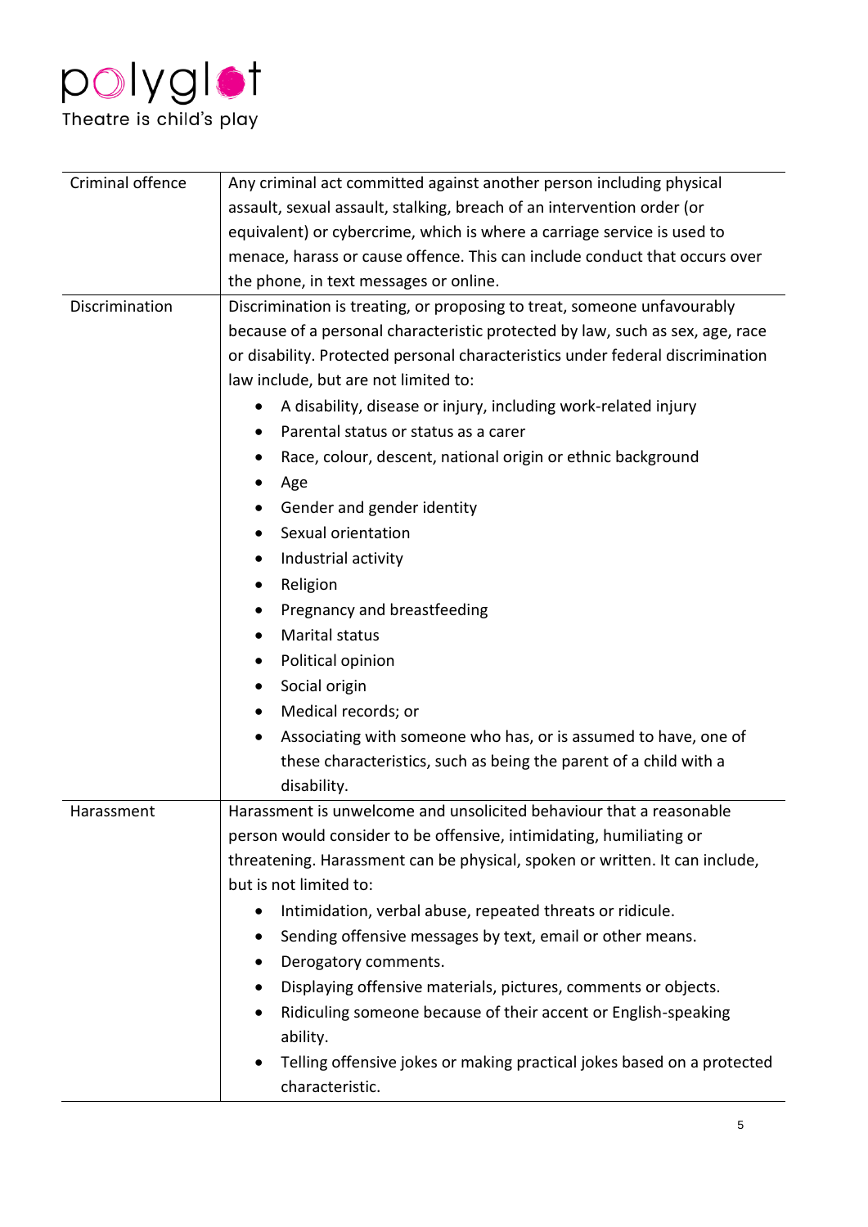

<span id="page-4-1"></span><span id="page-4-0"></span>

| Criminal offence | Any criminal act committed against another person including physical                |
|------------------|-------------------------------------------------------------------------------------|
|                  | assault, sexual assault, stalking, breach of an intervention order (or              |
|                  | equivalent) or cybercrime, which is where a carriage service is used to             |
|                  | menace, harass or cause offence. This can include conduct that occurs over          |
|                  | the phone, in text messages or online.                                              |
| Discrimination   | Discrimination is treating, or proposing to treat, someone unfavourably             |
|                  | because of a personal characteristic protected by law, such as sex, age, race       |
|                  | or disability. Protected personal characteristics under federal discrimination      |
|                  | law include, but are not limited to:                                                |
|                  | A disability, disease or injury, including work-related injury                      |
|                  | Parental status or status as a carer                                                |
|                  | Race, colour, descent, national origin or ethnic background                         |
|                  | Age                                                                                 |
|                  | Gender and gender identity                                                          |
|                  | Sexual orientation                                                                  |
|                  | Industrial activity<br>$\bullet$                                                    |
|                  | Religion<br>$\bullet$                                                               |
|                  | Pregnancy and breastfeeding<br>$\bullet$                                            |
|                  | <b>Marital status</b><br>$\bullet$                                                  |
|                  | Political opinion<br>$\bullet$                                                      |
|                  | Social origin<br>$\bullet$                                                          |
|                  | Medical records; or<br>$\bullet$                                                    |
|                  | Associating with someone who has, or is assumed to have, one of<br>$\bullet$        |
|                  | these characteristics, such as being the parent of a child with a                   |
|                  | disability.                                                                         |
| Harassment       | Harassment is unwelcome and unsolicited behaviour that a reasonable                 |
|                  | person would consider to be offensive, intimidating, humiliating or                 |
|                  | threatening. Harassment can be physical, spoken or written. It can include,         |
|                  | but is not limited to:                                                              |
|                  | Intimidation, verbal abuse, repeated threats or ridicule.<br>$\bullet$              |
|                  | Sending offensive messages by text, email or other means.                           |
|                  | Derogatory comments.                                                                |
|                  | Displaying offensive materials, pictures, comments or objects.<br>$\bullet$         |
|                  | Ridiculing someone because of their accent or English-speaking<br>$\bullet$         |
|                  | ability.                                                                            |
|                  | Telling offensive jokes or making practical jokes based on a protected<br>$\bullet$ |
|                  | characteristic.                                                                     |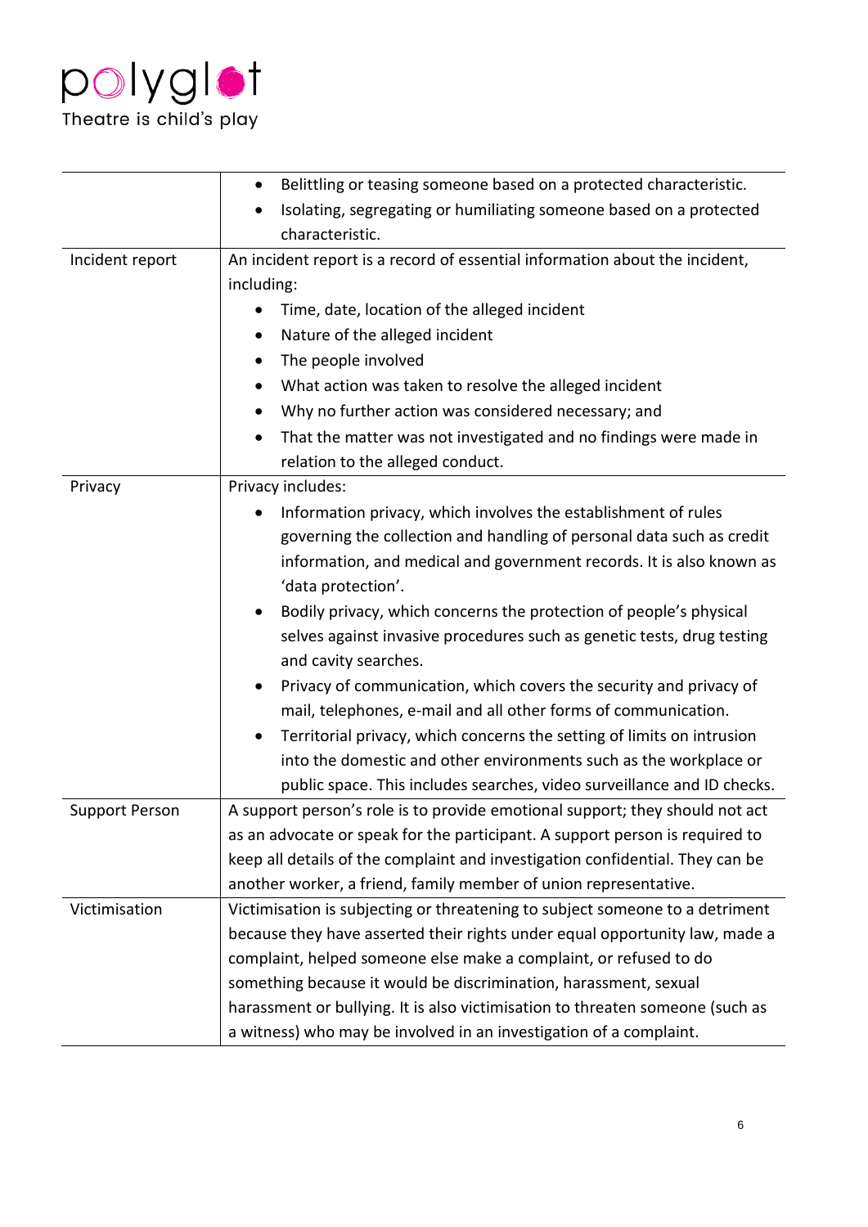

|                       | Belittling or teasing someone based on a protected characteristic.<br>$\bullet$     |
|-----------------------|-------------------------------------------------------------------------------------|
|                       | Isolating, segregating or humiliating someone based on a protected<br>$\bullet$     |
|                       | characteristic.                                                                     |
| Incident report       | An incident report is a record of essential information about the incident,         |
|                       | including:                                                                          |
|                       | Time, date, location of the alleged incident                                        |
|                       | Nature of the alleged incident<br>$\bullet$                                         |
|                       | The people involved<br>$\bullet$                                                    |
|                       | What action was taken to resolve the alleged incident<br>$\bullet$                  |
|                       | Why no further action was considered necessary; and<br>$\bullet$                    |
|                       | That the matter was not investigated and no findings were made in<br>$\bullet$      |
|                       | relation to the alleged conduct.                                                    |
| Privacy               | Privacy includes:                                                                   |
|                       | Information privacy, which involves the establishment of rules                      |
|                       | governing the collection and handling of personal data such as credit               |
|                       | information, and medical and government records. It is also known as                |
|                       | 'data protection'.                                                                  |
|                       | Bodily privacy, which concerns the protection of people's physical<br>$\bullet$     |
|                       | selves against invasive procedures such as genetic tests, drug testing              |
|                       | and cavity searches.                                                                |
|                       | Privacy of communication, which covers the security and privacy of                  |
|                       | mail, telephones, e-mail and all other forms of communication.                      |
|                       | Territorial privacy, which concerns the setting of limits on intrusion<br>$\bullet$ |
|                       | into the domestic and other environments such as the workplace or                   |
|                       | public space. This includes searches, video surveillance and ID checks.             |
| <b>Support Person</b> | A support person's role is to provide emotional support; they should not act        |
|                       | as an advocate or speak for the participant. A support person is required to        |
|                       | keep all details of the complaint and investigation confidential. They can be       |
|                       | another worker, a friend, family member of union representative.                    |
| Victimisation         | Victimisation is subjecting or threatening to subject someone to a detriment        |
|                       | because they have asserted their rights under equal opportunity law, made a         |
|                       | complaint, helped someone else make a complaint, or refused to do                   |
|                       | something because it would be discrimination, harassment, sexual                    |
|                       | harassment or bullying. It is also victimisation to threaten someone (such as       |
|                       | a witness) who may be involved in an investigation of a complaint.                  |